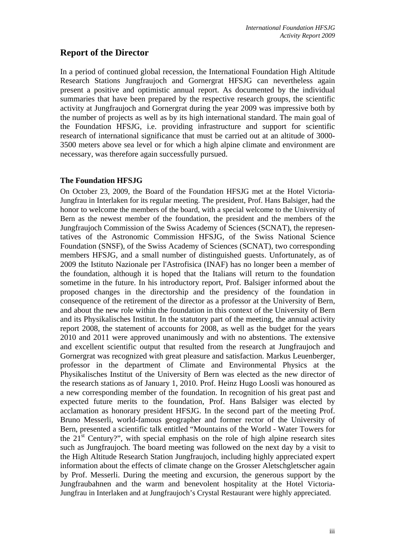# **Report of the Director**

In a period of continued global recession, the International Foundation High Altitude Research Stations Jungfraujoch and Gornergrat HFSJG can nevertheless again present a positive and optimistic annual report. As documented by the individual summaries that have been prepared by the respective research groups, the scientific activity at Jungfraujoch and Gornergrat during the year 2009 was impressive both by the number of projects as well as by its high international standard. The main goal of the Foundation HFSJG, i.e. providing infrastructure and support for scientific research of international significance that must be carried out at an altitude of 3000- 3500 meters above sea level or for which a high alpine climate and environment are necessary, was therefore again successfully pursued.

# **The Foundation HFSJG**

On October 23, 2009, the Board of the Foundation HFSJG met at the Hotel Victoria-Jungfrau in Interlaken for its regular meeting. The president, Prof. Hans Balsiger, had the honor to welcome the members of the board, with a special welcome to the University of Bern as the newest member of the foundation, the president and the members of the Jungfraujoch Commission of the Swiss Academy of Sciences (SCNAT), the representatives of the Astronomic Commission HFSJG, of the Swiss National Science Foundation (SNSF), of the Swiss Academy of Sciences (SCNAT), two corresponding members HFSJG, and a small number of distinguished guests. Unfortunately, as of 2009 the Istituto Nazionale per l'Astrofisica (INAF) has no longer been a member of the foundation, although it is hoped that the Italians will return to the foundation sometime in the future. In his introductory report, Prof. Balsiger informed about the proposed changes in the directorship and the presidency of the foundation in consequence of the retirement of the director as a professor at the University of Bern, and about the new role within the foundation in this context of the University of Bern and its Physikalisches Institut. In the statutory part of the meeting, the annual activity report 2008, the statement of accounts for 2008, as well as the budget for the years 2010 and 2011 were approved unanimously and with no abstentions. The extensive and excellent scientific output that resulted from the research at Jungfraujoch and Gornergrat was recognized with great pleasure and satisfaction. Markus Leuenberger, professor in the department of Climate and Environmental Physics at the Physikalisches Institut of the University of Bern was elected as the new director of the research stations as of January 1, 2010. Prof. Heinz Hugo Loosli was honoured as a new corresponding member of the foundation. In recognition of his great past and expected future merits to the foundation, Prof. Hans Balsiger was elected by acclamation as honorary president HFSJG. In the second part of the meeting Prof. Bruno Messerli, world-famous geographer and former rector of the University of Bern, presented a scientific talk entitled "Mountains of the World - Water Towers for the  $21<sup>st</sup>$  Century?", with special emphasis on the role of high alpine research sites such as Jungfraujoch. The board meeting was followed on the next day by a visit to the High Altitude Research Station Jungfraujoch, including highly appreciated expert information about the effects of climate change on the Grosser Aletschgletscher again by Prof. Messerli. During the meeting and excursion, the generous support by the Jungfraubahnen and the warm and benevolent hospitality at the Hotel Victoria-Jungfrau in Interlaken and at Jungfraujoch's Crystal Restaurant were highly appreciated.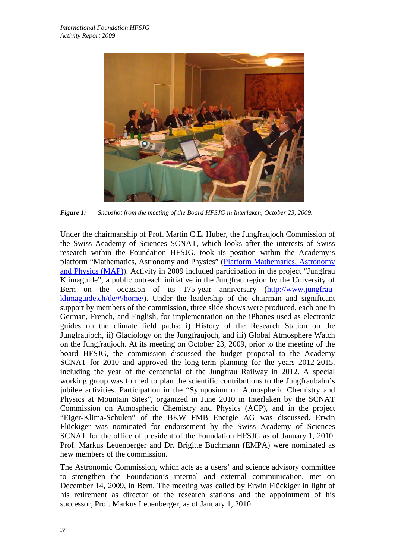

*Figure 1: Snapshot from the meeting of the Board HFSJG in Interlaken, October 23, 2009.* 

Under the chairmanship of Prof. Martin C.E. Huber, the Jungfraujoch Commission of the Swiss Academy of Sciences SCNAT, which looks after the interests of Swiss research within the Foundation HFSJG, took its position within the Academy's platform "Mathematics, Astronomy and Physics" (Platform Mathematics, Astronomy and Physics (MAP)). Activity in 2009 included participation in the project "Jungfrau Klimaguide", a public outreach initiative in the Jungfrau region by the University of Bern on the occasion of its 175-year anniversary (http://www.jungfrauklimaguide.ch/de/#/home/). Under the leadership of the chairman and significant support by members of the commission, three slide shows were produced, each one in German, French, and English, for implementation on the iPhones used as electronic guides on the climate field paths: i) History of the Research Station on the Jungfraujoch, ii) Glaciology on the Jungfraujoch, and iii) Global Atmosphere Watch on the Jungfraujoch. At its meeting on October 23, 2009, prior to the meeting of the board HFSJG, the commission discussed the budget proposal to the Academy SCNAT for 2010 and approved the long-term planning for the years 2012-2015, including the year of the centennial of the Jungfrau Railway in 2012. A special working group was formed to plan the scientific contributions to the Jungfraubahn's jubilee activities. Participation in the "Symposium on Atmospheric Chemistry and Physics at Mountain Sites", organized in June 2010 in Interlaken by the SCNAT Commission on Atmospheric Chemistry and Physics (ACP), and in the project "Eiger-Klima-Schulen" of the BKW FMB Energie AG was discussed. Erwin Flückiger was nominated for endorsement by the Swiss Academy of Sciences SCNAT for the office of president of the Foundation HFSJG as of January 1, 2010. Prof. Markus Leuenberger and Dr. Brigitte Buchmann (EMPA) were nominated as new members of the commission.

The Astronomic Commission, which acts as a users' and science advisory committee to strengthen the Foundation's internal and external communication, met on December 14, 2009, in Bern. The meeting was called by Erwin Flückiger in light of his retirement as director of the research stations and the appointment of his successor, Prof. Markus Leuenberger, as of January 1, 2010.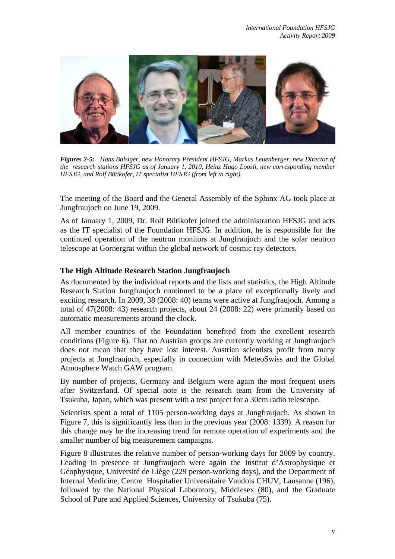

*Figures 2-5: Hans Balsiger, new Honorary President HFSJG, Markus Leuenberger, new Director of the research stations HFSJG as of January 1, 2010, Heinz Hugo Loosli, new corresponding member HFSJG, and Rolf Bütikofer, IT specialist HFSJG (from left to right).* 

The meeting of the Board and the General Assembly of the Sphinx AG took place at Jungfraujoch on June 19, 2009.

As of January 1, 2009, Dr. Rolf Bütikofer joined the administration HFSJG and acts as the IT specialist of the Foundation HFSJG. In addition, he is responsible for the continued operation of the neutron monitors at Jungfraujoch and the solar neutron telescope at Gornergrat within the global network of cosmic ray detectors.

# **The High Altitude Research Station Jungfraujoch**

As documented by the individual reports and the lists and statistics, the High Altitude Research Station Jungfraujoch continued to be a place of exceptionally lively and exciting research. In 2009, 38 (2008: 40) teams were active at Jungfraujoch. Among a total of 47(2008: 43) research projects, about 24 (2008: 22) were primarily based on automatic measurements around the clock.

All member countries of the Foundation benefited from the excellent research conditions (Figure 6). That no Austrian groups are currently working at Jungfraujoch does not mean that they have lost interest. Austrian scientists profit from many projects at Jungfraujoch, especially in connection with MeteoSwiss and the Global Atmosphere Watch GAW program.

By number of projects, Germany and Belgium were again the most frequent users after Switzerland. Of special note is the research team from the University of Tsukuba, Japan, which was present with a test project for a 30cm radio telescope.

Scientists spent a total of 1105 person-working days at Jungfraujoch. As shown in Figure 7, this is significantly less than in the previous year (2008: 1339). A reason for this change may be the increasing trend for remote operation of experiments and the smaller number of big measurement campaigns.

Figure 8 illustrates the relative number of person-working days for 2009 by country. Leading in presence at Jungfraujoch were again the Institut d'Astrophysique et Géophysique, Université de Liège (229 person-working days), and the Department of Internal Medicine, Centre Hospitalier Universitaire Vaudois CHUV, Lausanne (196), followed by the National Physical Laboratory, Middlesex (80), and the Graduate School of Pure and Applied Sciences, University of Tsukuba (75).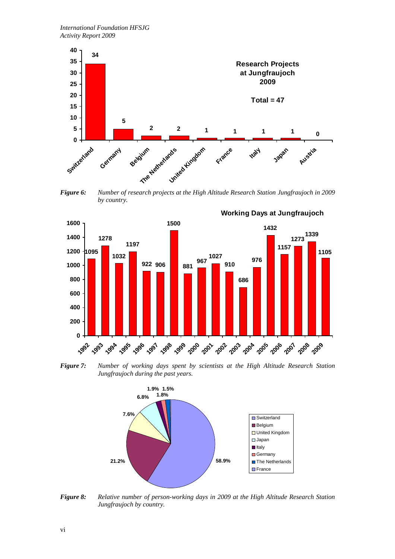

*Figure 6: Number of research projects at the High Altitude Research Station Jungfraujoch in 2009 by country.* 



*Figure 7: Number of working days spent by scientists at the High Altitude Research Station Jungfraujoch during the past years.* 



*Figure 8: Relative number of person-working days in 2009 at the High Altitude Research Station Jungfraujoch by country.*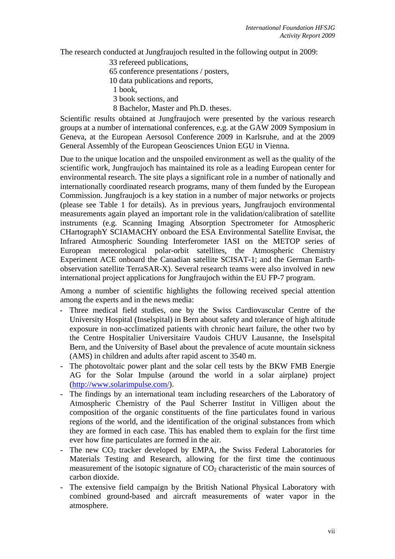The research conducted at Jungfraujoch resulted in the following output in 2009:

- 33 refereed publications,
- 65 conference presentations / posters,
- 10 data publications and reports,
- 1 book,
- 3 book sections, and
- 8 Bachelor, Master and Ph.D. theses.

Scientific results obtained at Jungfraujoch were presented by the various research groups at a number of international conferences, e.g. at the GAW 2009 Symposium in Geneva, at the European Aersosol Conference 2009 in Karlsruhe, and at the 2009 General Assembly of the European Geosciences Union EGU in Vienna.

Due to the unique location and the unspoiled environment as well as the quality of the scientific work, Jungfraujoch has maintained its role as a leading European center for environmental research. The site plays a significant role in a number of nationally and internationally coordinated research programs, many of them funded by the European Commission. Jungfraujoch is a key station in a number of major networks or projects (please see Table 1 for details). As in previous years, Jungfraujoch environmental measurements again played an important role in the validation/calibration of satellite instruments (e.g. Scanning Imaging Absorption Spectrometer for Atmospheric CHartographY SCIAMACHY onboard the ESA Environmental Satellite Envisat, the Infrared Atmospheric Sounding Interferometer IASI on the METOP series of European meteorological polar-orbit satellites, the Atmospheric Chemistry Experiment ACE onboard the Canadian satellite SCISAT-1; and the German Earthobservation satellite TerraSAR-X). Several research teams were also involved in new international project applications for Jungfraujoch within the EU FP-7 program.

Among a number of scientific highlights the following received special attention among the experts and in the news media:

- Three medical field studies, one by the Swiss Cardiovascular Centre of the University Hospital (Inselspital) in Bern about safety and tolerance of high altitude exposure in non-acclimatized patients with chronic heart failure, the other two by the Centre Hospitalier Universitaire Vaudois CHUV Lausanne, the Inselspital Bern, and the University of Basel about the prevalence of acute mountain sickness (AMS) in children and adults after rapid ascent to 3540 m.
- The photovoltaic power plant and the solar cell tests by the BKW FMB Energie AG for the Solar Impulse (around the world in a solar airplane) project (http://www.solarimpulse.com/).
- The findings by an international team including researchers of the Laboratory of Atmospheric Chemistry of the Paul Scherrer Institut in Villigen about the composition of the organic constituents of the fine particulates found in various regions of the world, and the identification of the original substances from which they are formed in each case. This has enabled them to explain for the first time ever how fine particulates are formed in the air.
- The new  $CO<sub>2</sub>$  tracker developed by EMPA, the Swiss Federal Laboratories for Materials Testing and Research, allowing for the first time the continuous measurement of the isotopic signature of  $CO<sub>2</sub>$  characteristic of the main sources of carbon dioxide.
- The extensive field campaign by the British National Physical Laboratory with combined ground-based and aircraft measurements of water vapor in the atmosphere.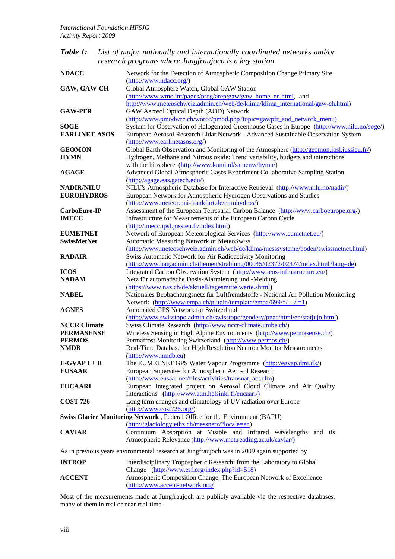*Table 1: List of major nationally and internationally coordinated networks and/or research programs where Jungfraujoch is a key station* 

| <b>NDACC</b>         | Network for the Detection of Atmospheric Composition Change Primary Site                                                                   |
|----------------------|--------------------------------------------------------------------------------------------------------------------------------------------|
|                      | (http://www.ndacc.org/)                                                                                                                    |
| <b>GAW, GAW-CH</b>   | Global Atmosphere Watch, Global GAW Station                                                                                                |
|                      | (http://www.wmo.int/pages/prog/arep/gaw/gaw_home_en.html, and                                                                              |
|                      | http://www.meteoschweiz.admin.ch/web/de/klima/klima_international/gaw-ch.html)                                                             |
| <b>GAW-PFR</b>       | GAW Aerosol Optical Depth (AOD) Network                                                                                                    |
|                      | (http://www.pmodwrc.ch/worcc/pmod.php?topic=gawpfr_aod_network_menu)                                                                       |
| SOGE                 | System for Observation of Halogenated Greenhouse Gases in Europe (http://www.nilu.no/soge/)                                                |
| <b>EARLINET-ASOS</b> | European Aerosol Research Lidar Network - Advanced Sustainable Observation System                                                          |
|                      | (http://www.earlinetasos.org/)                                                                                                             |
| <b>GEOMON</b>        | Global Earth Observation and Monitoring of the Atmosphere (http://geomon.ipsl.jussieu.fr/)                                                 |
| <b>HYMN</b>          | Hydrogen, Methane and Nitrous oxide: Trend variability, budgets and interactions                                                           |
|                      | with the biosphere (http://www.knmi.nl/samenw/hymn/)                                                                                       |
| <b>AGAGE</b>         | Advanced Global Atmospheric Gases Experiment Collaborative Sampling Station                                                                |
|                      | (http://agage.eas.gatech.edu/)                                                                                                             |
| <b>NADIR/NILU</b>    | NILU's Atmospheric Database for Interactive Retrieval (http://www.nilu.no/nadir/)                                                          |
| <b>EUROHYDROS</b>    | European Network for Atmospheric Hydrogen Observations and Studies                                                                         |
|                      | (http://www.meteor.uni-frankfurt.de/eurohydros/)                                                                                           |
| CarboEuro-IP         | Assessment of the European Terrestrial Carbon Balance (http://www.carboeurope.org/)                                                        |
| <b>IMECC</b>         | Infrastructure for Measurements of the European Carbon Cycle                                                                               |
|                      | (http://imecc.ipsl.jussieu.fr/index.html)                                                                                                  |
| <b>EUMETNET</b>      | Network of European Meteorological Services (http://www.eumetnet.eu/)                                                                      |
| <b>SwissMetNet</b>   | Automatic Measuring Network of MeteoSwiss                                                                                                  |
|                      | (http://www.meteoschweiz.admin.ch/web/de/klima/messsysteme/boden/swissmetnet.html)                                                         |
| RADAIR               | Swiss Automatic Network for Air Radioactivity Monitoring                                                                                   |
|                      | (http://www.bag.admin.ch/themen/strahlung/00045/02372/02374/index.html?lang=de)                                                            |
| <b>ICOS</b>          | Integrated Carbon Observation System (http://www.icos-infrastructure.eu/)                                                                  |
| <b>NADAM</b>         | Netz für automatische Dosis-Alarmierung und -Meldung                                                                                       |
|                      | (https://www.naz.ch/de/aktuell/tagesmittelwerte.shtml)                                                                                     |
| <b>NABEL</b>         | Nationales Beobachtungsnetz für Luftfremdstoffe - National Air Pollution Monitoring                                                        |
|                      | Network (http://www.empa.ch/plugin/template/empa/699/*/---/l=1)<br>Automated GPS Network for Switzerland                                   |
| AGNES                |                                                                                                                                            |
| <b>NCCR Climate</b>  | (http://www.swisstopo.admin.ch/swisstopo/geodesy/pnac/html/en/statjujo.html)<br>Swiss Climate Research (http://www.nccr-climate.unibe.ch/) |
| PERMASENSE           | Wireless Sensing in High Alpine Environments (http://www.permasense.ch/)                                                                   |
| <b>PERMOS</b>        | Permafrost Monitoring Switzerland (http://www.permos.ch/)                                                                                  |
| NMDB                 | Real-Time Database for High Resolution Neutron Monitor Measurements                                                                        |
|                      | (http://www.nmdb.eu)                                                                                                                       |
| E-GVAP I + II        | The EUMETNET GPS Water Vapour Programme (http://egvap.dmi.dk/)                                                                             |
| <b>EUSAAR</b>        | European Supersites for Atmospheric Aerosol Research                                                                                       |
|                      | (http://www.eusaar.net/files/activities/transnat_act.cfm)                                                                                  |
| <b>EUCAARI</b>       | European Integrated project on Aerosol Cloud Climate and Air Quality                                                                       |
|                      | Interactions (http://www.atm.helsinki.fi/eucaari/)                                                                                         |
| <b>COST 726</b>      | Long term changes and climatology of UV radiation over Europe                                                                              |
|                      | $(\frac{http://www.cost726.org/}{http://www.cost726.org/})$                                                                                |
|                      | Swiss Glacier Monitoring Network, Federal Office for the Environment (BAFU)                                                                |
|                      | (http://glaciology.ethz.ch/messnetz/?locale=en)                                                                                            |
| <b>CAVIAR</b>        | Continuum Absorption at Visible and Infrared wavelengths and its                                                                           |
|                      | Atmospheric Relevance (http://www.met.reading.ac.uk/caviar/)                                                                               |
|                      |                                                                                                                                            |
|                      | As in previous years environmental research at Jungfraujoch was in 2009 again supported by                                                 |
| <b>INTROP</b>        | Interdisciplinary Tropospheric Research: from the Laboratory to Global                                                                     |
|                      | Change (http://www.esf.org/index.php?id=518)                                                                                               |
| <b>ACCENT</b>        | Atmospheric Composition Change, The European Network of Excellence                                                                         |
|                      | (http://www.accent-network.org/                                                                                                            |

Most of the measurements made at Jungfraujoch are publicly available via the respective databases, many of them in real or near real-time.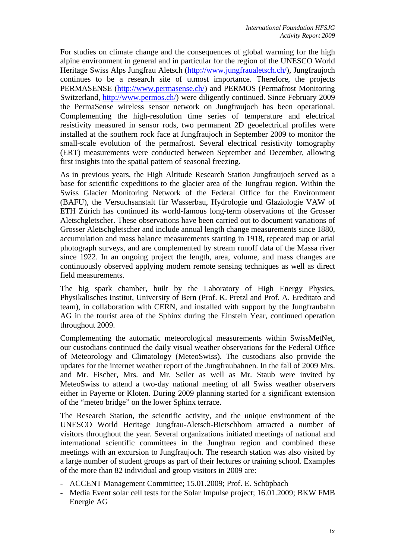For studies on climate change and the consequences of global warming for the high alpine environment in general and in particular for the region of the UNESCO World Heritage Swiss Alps Jungfrau Aletsch (http://www.jungfraualetsch.ch/), Jungfraujoch continues to be a research site of utmost importance. Therefore, the projects PERMASENSE (http://www.permasense.ch/) and PERMOS (Permafrost Monitoring Switzerland, http://www.permos.ch/) were diligently continued. Since February 2009 the PermaSense wireless sensor network on Jungfraujoch has been operational. Complementing the high-resolution time series of temperature and electrical resistivity measured in sensor rods, two permanent 2D geoelectrical profiles were installed at the southern rock face at Jungfraujoch in September 2009 to monitor the small-scale evolution of the permafrost. Several electrical resistivity tomography (ERT) measurements were conducted between September and December, allowing first insights into the spatial pattern of seasonal freezing.

As in previous years, the High Altitude Research Station Jungfraujoch served as a base for scientific expeditions to the glacier area of the Jungfrau region. Within the Swiss Glacier Monitoring Network of the Federal Office for the Environment (BAFU), the Versuchsanstalt für Wasserbau, Hydrologie und Glaziologie VAW of ETH Zürich has continued its world-famous long-term observations of the Grosser Aletschgletscher. These observations have been carried out to document variations of Grosser Aletschgletscher and include annual length change measurements since 1880, accumulation and mass balance measurements starting in 1918, repeated map or arial photograph surveys, and are complemented by stream runoff data of the Massa river since 1922. In an ongoing project the length, area, volume, and mass changes are continuously observed applying modern remote sensing techniques as well as direct field measurements.

The big spark chamber, built by the Laboratory of High Energy Physics, Physikalisches Institut, University of Bern (Prof. K. Pretzl and Prof. A. Ereditato and team), in collaboration with CERN, and installed with support by the Jungfraubahn AG in the tourist area of the Sphinx during the Einstein Year, continued operation throughout 2009.

Complementing the automatic meteorological measurements within SwissMetNet, our custodians continued the daily visual weather observations for the Federal Office of Meteorology and Climatology (MeteoSwiss). The custodians also provide the updates for the internet weather report of the Jungfraubahnen. In the fall of 2009 Mrs. and Mr. Fischer, Mrs. and Mr. Seiler as well as Mr. Staub were invited by MeteoSwiss to attend a two-day national meeting of all Swiss weather observers either in Payerne or Kloten. During 2009 planning started for a significant extension of the "meteo bridge" on the lower Sphinx terrace.

The Research Station, the scientific activity, and the unique environment of the UNESCO World Heritage Jungfrau-Aletsch-Bietschhorn attracted a number of visitors throughout the year. Several organizations initiated meetings of national and international scientific committees in the Jungfrau region and combined these meetings with an excursion to Jungfraujoch. The research station was also visited by a large number of student groups as part of their lectures or training school. Examples of the more than 82 individual and group visitors in 2009 are:

- ACCENT Management Committee; 15.01.2009; Prof. E. Schüpbach
- Media Event solar cell tests for the Solar Impulse project; 16.01.2009; BKW FMB Energie AG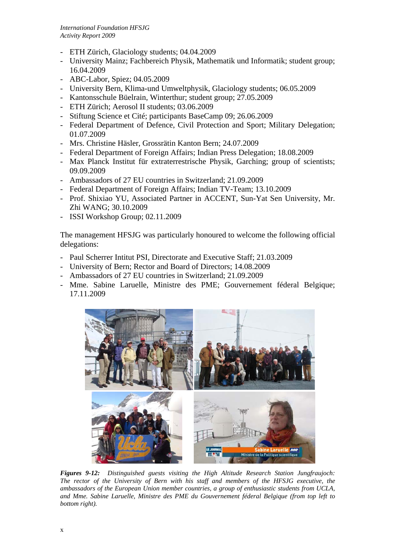- ETH Zürich, Glaciology students; 04.04.2009
- University Mainz; Fachbereich Physik, Mathematik und Informatik; student group; 16.04.2009
- ABC-Labor, Spiez; 04.05.2009
- University Bern, Klima-und Umweltphysik, Glaciology students; 06.05.2009
- Kantonsschule Büelrain, Winterthur; student group; 27.05.2009
- ETH Zürich; Aerosol II students; 03.06.2009
- Stiftung Science et Cité; participants BaseCamp 09; 26.06.2009
- Federal Department of Defence, Civil Protection and Sport; Military Delegation; 01.07.2009
- Mrs. Christine Häsler, Grossrätin Kanton Bern; 24.07.2009
- Federal Department of Foreign Affairs; Indian Press Delegation; 18.08.2009
- Max Planck Institut für extraterrestrische Physik, Garching; group of scientists; 09.09.2009
- Ambassadors of 27 EU countries in Switzerland; 21.09.2009
- Federal Department of Foreign Affairs; Indian TV-Team; 13.10.2009
- Prof. Shixiao YU, Associated Partner in ACCENT, Sun-Yat Sen University, Mr. Zhi WANG; 30.10.2009
- ISSI Workshop Group; 02.11.2009

The management HFSJG was particularly honoured to welcome the following official delegations:

- Paul Scherrer Intitut PSI, Directorate and Executive Staff; 21.03.2009
- University of Bern; Rector and Board of Directors; 14.08.2009
- Ambassadors of 27 EU countries in Switzerland; 21.09.2009
- Mme. Sabine Laruelle, Ministre des PME; Gouvernement féderal Belgique; 17.11.2009



*Figures 9-12: Distinguished guests visiting the High Altitude Research Station Jungfraujoch: The rector of the University of Bern with his staff and members of the HFSJG executive, the ambassadors of the European Union member countries, a group of enthusiastic students from UCLA, and Mme. Sabine Laruelle, Ministre des PME du Gouvernement féderal Belgique (from top left to bottom right).*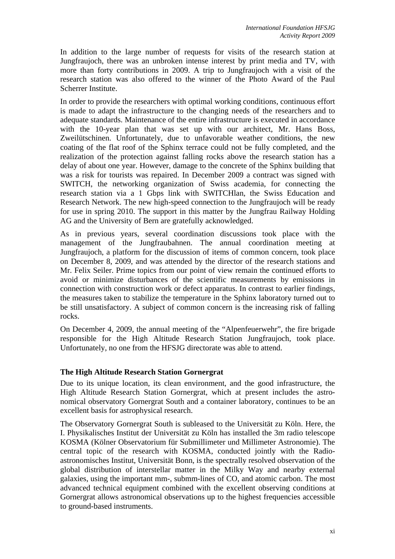In addition to the large number of requests for visits of the research station at Jungfraujoch, there was an unbroken intense interest by print media and TV, with more than forty contributions in 2009. A trip to Jungfraujoch with a visit of the research station was also offered to the winner of the Photo Award of the Paul Scherrer Institute.

In order to provide the researchers with optimal working conditions, continuous effort is made to adapt the infrastructure to the changing needs of the researchers and to adequate standards. Maintenance of the entire infrastructure is executed in accordance with the 10-year plan that was set up with our architect, Mr. Hans Boss, Zweilütschinen. Unfortunately, due to unfavorable weather conditions, the new coating of the flat roof of the Sphinx terrace could not be fully completed, and the realization of the protection against falling rocks above the research station has a delay of about one year. However, damage to the concrete of the Sphinx building that was a risk for tourists was repaired. In December 2009 a contract was signed with SWITCH, the networking organization of Swiss academia, for connecting the research station via a 1 Gbps link with SWITCHlan, the Swiss Education and Research Network. The new high-speed connection to the Jungfraujoch will be ready for use in spring 2010. The support in this matter by the Jungfrau Railway Holding AG and the University of Bern are gratefully acknowledged.

As in previous years, several coordination discussions took place with the management of the Jungfraubahnen. The annual coordination meeting at Jungfraujoch, a platform for the discussion of items of common concern, took place on December 8, 2009, and was attended by the director of the research stations and Mr. Felix Seiler. Prime topics from our point of view remain the continued efforts to avoid or minimize disturbances of the scientific measurements by emissions in connection with construction work or defect apparatus. In contrast to earlier findings, the measures taken to stabilize the temperature in the Sphinx laboratory turned out to be still unsatisfactory. A subject of common concern is the increasing risk of falling rocks.

On December 4, 2009, the annual meeting of the "Alpenfeuerwehr", the fire brigade responsible for the High Altitude Research Station Jungfraujoch, took place. Unfortunately, no one from the HFSJG directorate was able to attend.

### **The High Altitude Research Station Gornergrat**

Due to its unique location, its clean environment, and the good infrastructure, the High Altitude Research Station Gornergrat, which at present includes the astronomical observatory Gornergrat South and a container laboratory, continues to be an excellent basis for astrophysical research.

The Observatory Gornergrat South is subleased to the Universität zu Köln. Here, the I. Physikalisches Institut der Universität zu Köln has installed the 3m radio telescope KOSMA (Kölner Observatorium für Submillimeter und Millimeter Astronomie). The central topic of the research with KOSMA, conducted jointly with the Radioastronomisches Institut, Universität Bonn, is the spectrally resolved observation of the global distribution of interstellar matter in the Milky Way and nearby external galaxies, using the important mm-, submm-lines of CO, and atomic carbon. The most advanced technical equipment combined with the excellent observing conditions at Gornergrat allows astronomical observations up to the highest frequencies accessible to ground-based instruments.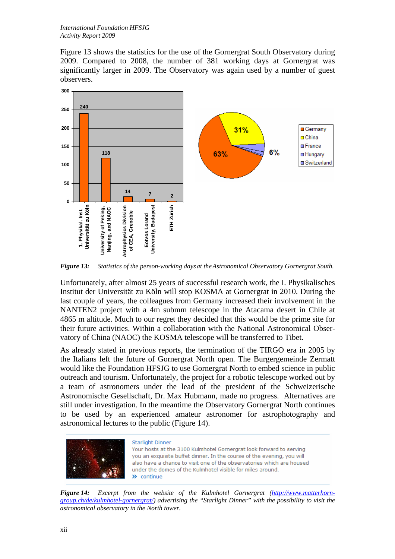Figure 13 shows the statistics for the use of the Gornergrat South Observatory during 2009. Compared to 2008, the number of 381 working days at Gornergrat was significantly larger in 2009. The Observatory was again used by a number of guest observers.



*Figure 13: Statistics of the person-working days at the Astronomical Observatory Gornergrat South.* 

Unfortunately, after almost 25 years of successful research work, the I. Physikalisches Institut der Universität zu Köln will stop KOSMA at Gornergrat in 2010. During the last couple of years, the colleagues from Germany increased their involvement in the NANTEN2 project with a 4m submm telescope in the Atacama desert in Chile at 4865 m altitude. Much to our regret they decided that this would be the prime site for their future activities. Within a collaboration with the National Astronomical Observatory of China (NAOC) the KOSMA telescope will be transferred to Tibet.

As already stated in previous reports, the termination of the TIRGO era in 2005 by the Italians left the future of Gornergrat North open. The Burgergemeinde Zermatt would like the Foundation HFSJG to use Gornergrat North to embed science in public outreach and tourism. Unfortunately, the project for a robotic telescope worked out by a team of astronomers under the lead of the president of the Schweizerische Astronomische Gesellschaft, Dr. Max Hubmann, made no progress. Alternatives are still under investigation. In the meantime the Observatory Gornergrat North continues to be used by an experienced amateur astronomer for astrophotography and astronomical lectures to the public (Figure 14).



#### **Starlight Dinner**

Your hosts at the 3100 Kulmhotel Gornergrat look forward to serving you an exquisite buffet dinner. In the course of the evening, you will also have a chance to visit one of the observatories which are housed under the domes of the Kulmhotel visible for miles around.  $\lambda$  continue

*Figure 14: Excerpt from the website of the Kulmhotel Gornergrat (http://www.matterhorngroup.ch/de/kulmhotel-gornergrat/) advertising the "Starlight Dinner" with the possibility to visit the astronomical observatory in the North tower.*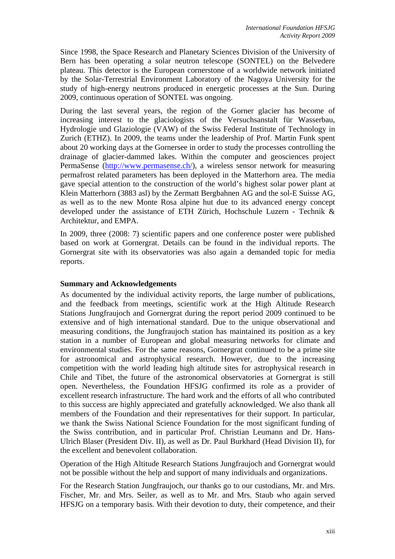Since 1998, the Space Research and Planetary Sciences Division of the University of Bern has been operating a solar neutron telescope (SONTEL) on the Belvedere plateau. This detector is the European cornerstone of a worldwide network initiated by the Solar-Terrestrial Environment Laboratory of the Nagoya University for the study of high-energy neutrons produced in energetic processes at the Sun. During 2009, continuous operation of SONTEL was ongoing.

During the last several years, the region of the Gorner glacier has become of increasing interest to the glaciologists of the Versuchsanstalt für Wasserbau, Hydrologie und Glaziologie (VAW) of the Swiss Federal Institute of Technology in Zurich (ETHZ). In 2009, the teams under the leadership of Prof. Martin Funk spent about 20 working days at the Gornersee in order to study the processes controlling the drainage of glacier-dammed lakes. Within the computer and geosciences project PermaSense (http://www.permasense.ch/), a wireless sensor network for measuring permafrost related parameters has been deployed in the Matterhorn area. The media gave special attention to the construction of the world's highest solar power plant at Klein Matterhorn (3883 asl) by the Zermatt Bergbahnen AG and the sol-E Suisse AG, as well as to the new Monte Rosa alpine hut due to its advanced energy concept developed under the assistance of ETH Zürich, Hochschule Luzern - Technik & Architektur, and EMPA.

In 2009, three (2008: 7) scientific papers and one conference poster were published based on work at Gornergrat. Details can be found in the individual reports. The Gornergrat site with its observatories was also again a demanded topic for media reports.

### **Summary and Acknowledgements**

As documented by the individual activity reports, the large number of publications, and the feedback from meetings, scientific work at the High Altitude Research Stations Jungfraujoch and Gornergrat during the report period 2009 continued to be extensive and of high international standard. Due to the unique observational and measuring conditions, the Jungfraujoch station has maintained its position as a key station in a number of European and global measuring networks for climate and environmental studies. For the same reasons, Gornergrat continued to be a prime site for astronomical and astrophysical research. However, due to the increasing competition with the world leading high altitude sites for astrophysical research in Chile and Tibet, the future of the astronomical observatories at Gornergrat is still open. Nevertheless, the Foundation HFSJG confirmed its role as a provider of excellent research infrastructure. The hard work and the efforts of all who contributed to this success are highly appreciated and gratefully acknowledged. We also thank all members of the Foundation and their representatives for their support. In particular, we thank the Swiss National Science Foundation for the most significant funding of the Swiss contribution, and in particular Prof. Christian Leumann and Dr. Hans-Ulrich Blaser (President Div. II), as well as Dr. Paul Burkhard (Head Division II), for the excellent and benevolent collaboration.

Operation of the High Altitude Research Stations Jungfraujoch and Gornergrat would not be possible without the help and support of many individuals and organizations.

For the Research Station Jungfraujoch, our thanks go to our custodians, Mr. and Mrs. Fischer, Mr. and Mrs. Seiler, as well as to Mr. and Mrs. Staub who again served HFSJG on a temporary basis. With their devotion to duty, their competence, and their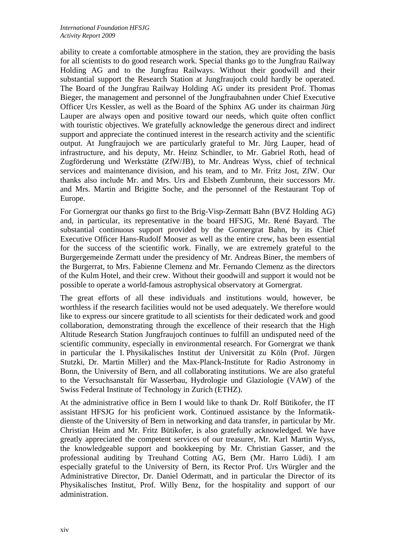ability to create a comfortable atmosphere in the station, they are providing the basis for all scientists to do good research work. Special thanks go to the Jungfrau Railway Holding AG and to the Jungfrau Railways. Without their goodwill and their substantial support the Research Station at Jungfraujoch could hardly be operated. The Board of the Jungfrau Railway Holding AG under its president Prof. Thomas Bieger, the management and personnel of the Jungfraubahnen under Chief Executive Officer Urs Kessler, as well as the Board of the Sphinx AG under its chairman Jürg Lauper are always open and positive toward our needs, which quite often conflict with touristic objectives. We gratefully acknowledge the generous direct and indirect support and appreciate the continued interest in the research activity and the scientific output. At Jungfraujoch we are particularly grateful to Mr. Jürg Lauper, head of infrastructure, and his deputy, Mr. Heinz Schindler, to Mr. Gabriel Roth, head of Zugförderung und Werkstätte (ZfW/JB), to Mr. Andreas Wyss, chief of technical services and maintenance division, and his team, and to Mr. Fritz Jost, ZfW. Our thanks also include Mr. and Mrs. Urs and Elsbeth Zumbrunn, their successors Mr. and Mrs. Martin and Brigitte Soche, and the personnel of the Restaurant Top of Europe.

For Gornergrat our thanks go first to the Brig-Visp-Zermatt Bahn (BVZ Holding AG) and, in particular, its representative in the board HFSJG, Mr. René Bayard. The substantial continuous support provided by the Gornergrat Bahn, by its Chief Executive Officer Hans-Rudolf Mooser as well as the entire crew, has been essential for the success of the scientific work. Finally, we are extremely grateful to the Burgergemeinde Zermatt under the presidency of Mr. Andreas Biner, the members of the Burgerrat, to Mrs. Fabienne Clemenz and Mr. Fernando Clemenz as the directors of the Kulm Hotel, and their crew. Without their goodwill and support it would not be possible to operate a world-famous astrophysical observatory at Gornergrat.

The great efforts of all these individuals and institutions would, however, be worthless if the research facilities would not be used adequately. We therefore would like to express our sincere gratitude to all scientists for their dedicated work and good collaboration, demonstrating through the excellence of their research that the High Altitude Research Station Jungfraujoch continues to fulfill an undisputed need of the scientific community, especially in environmental research. For Gornergrat we thank in particular the I. Physikalisches Institut der Universität zu Köln (Prof. Jürgen Stutzki, Dr. Martin Miller) and the Max-Planck-Institute for Radio Astronomy in Bonn, the University of Bern, and all collaborating institutions. We are also grateful to the Versuchsanstalt für Wasserbau, Hydrologie und Glaziologie (VAW) of the Swiss Federal Institute of Technology in Zurich (ETHZ).

At the administrative office in Bern I would like to thank Dr. Rolf Bütikofer, the IT assistant HFSJG for his proficient work. Continued assistance by the Informatikdienste of the University of Bern in networking and data transfer, in particular by Mr. Christian Heim and Mr. Fritz Bütikofer, is also gratefully acknowledged. We have greatly appreciated the competent services of our treasurer, Mr. Karl Martin Wyss, the knowledgeable support and bookkeeping by Mr. Christian Gasser, and the professional auditing by Treuhand Cotting AG, Bern (Mr. Harro Lüdi). I am especially grateful to the University of Bern, its Rector Prof. Urs Würgler and the Administrative Director, Dr. Daniel Odermatt, and in particular the Director of its Physikalisches Institut, Prof. Willy Benz, for the hospitality and support of our administration.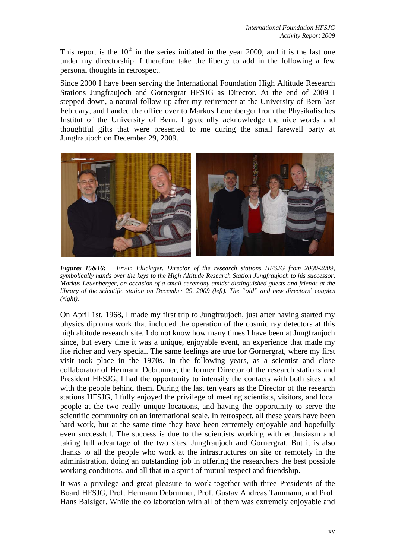This report is the  $10<sup>th</sup>$  in the series initiated in the year 2000, and it is the last one under my directorship. I therefore take the liberty to add in the following a few personal thoughts in retrospect.

Since 2000 I have been serving the International Foundation High Altitude Research Stations Jungfraujoch and Gornergrat HFSJG as Director. At the end of 2009 I stepped down, a natural follow-up after my retirement at the University of Bern last February, and handed the office over to Markus Leuenberger from the Physikalisches Institut of the University of Bern. I gratefully acknowledge the nice words and thoughtful gifts that were presented to me during the small farewell party at Jungfraujoch on December 29, 2009.



*Figures 15&16: Erwin Flückiger, Director of the research stations HFSJG from 2000-2009, symbolically hands over the keys to the High Altitude Research Station Jungfraujoch to his successor, Markus Leuenberger, on occasion of a small ceremony amidst distinguished guests and friends at the library of the scientific station on December 29, 2009 (left). The "old" and new directors' couples (right).* 

On April 1st, 1968, I made my first trip to Jungfraujoch, just after having started my physics diploma work that included the operation of the cosmic ray detectors at this high altitude research site. I do not know how many times I have been at Jungfraujoch since, but every time it was a unique, enjoyable event, an experience that made my life richer and very special. The same feelings are true for Gornergrat, where my first visit took place in the 1970s. In the following years, as a scientist and close collaborator of Hermann Debrunner, the former Director of the research stations and President HFSJG, I had the opportunity to intensify the contacts with both sites and with the people behind them. During the last ten years as the Director of the research stations HFSJG, I fully enjoyed the privilege of meeting scientists, visitors, and local people at the two really unique locations, and having the opportunity to serve the scientific community on an international scale. In retrospect, all these years have been hard work, but at the same time they have been extremely enjoyable and hopefully even successful. The success is due to the scientists working with enthusiasm and taking full advantage of the two sites, Jungfraujoch and Gornergrat. But it is also thanks to all the people who work at the infrastructures on site or remotely in the administration, doing an outstanding job in offering the researchers the best possible working conditions, and all that in a spirit of mutual respect and friendship.

It was a privilege and great pleasure to work together with three Presidents of the Board HFSJG, Prof. Hermann Debrunner, Prof. Gustav Andreas Tammann, and Prof. Hans Balsiger. While the collaboration with all of them was extremely enjoyable and